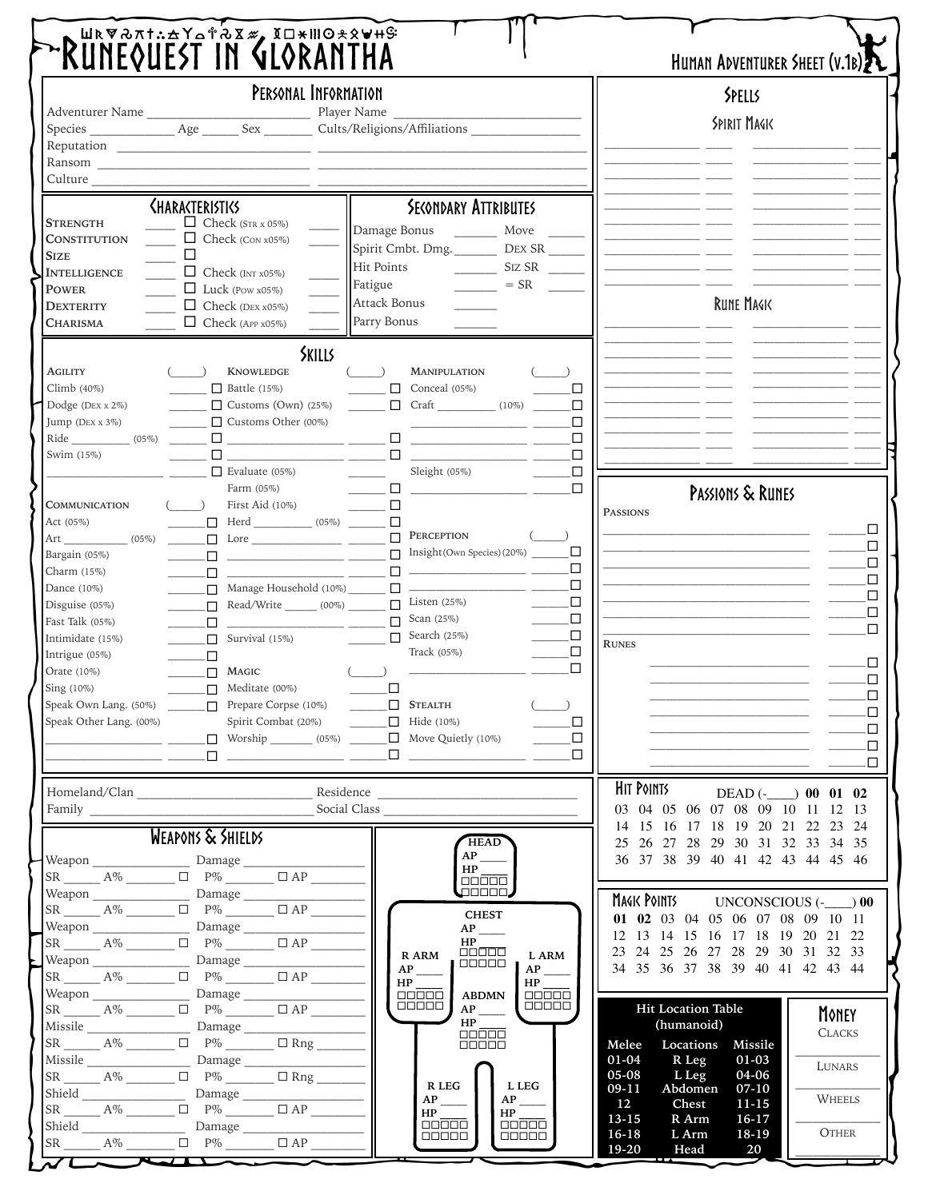| PERSONAL INFORMATION                |                                                                                                                                                                                                                                                                                                                                                                                                                                                                                                                                                     |                                                                    | SPELLS                                                                     |
|-------------------------------------|-----------------------------------------------------------------------------------------------------------------------------------------------------------------------------------------------------------------------------------------------------------------------------------------------------------------------------------------------------------------------------------------------------------------------------------------------------------------------------------------------------------------------------------------------------|--------------------------------------------------------------------|----------------------------------------------------------------------------|
|                                     |                                                                                                                                                                                                                                                                                                                                                                                                                                                                                                                                                     |                                                                    | <b>SPIRIT MAGIK</b>                                                        |
|                                     |                                                                                                                                                                                                                                                                                                                                                                                                                                                                                                                                                     |                                                                    |                                                                            |
|                                     | Ransom                                                                                                                                                                                                                                                                                                                                                                                                                                                                                                                                              |                                                                    |                                                                            |
| Culture                             |                                                                                                                                                                                                                                                                                                                                                                                                                                                                                                                                                     |                                                                    |                                                                            |
|                                     | <b><i>SHARASTERISTICS</i></b>                                                                                                                                                                                                                                                                                                                                                                                                                                                                                                                       | <b>SECONDARY ATTRIBUTES</b>                                        |                                                                            |
| <b>STRENGTH</b>                     | $\Box$ Check (STR x 05%)                                                                                                                                                                                                                                                                                                                                                                                                                                                                                                                            | Damage Bonus<br>Move                                               |                                                                            |
| <b>CONSTITUTION</b><br><b>SIZE</b>  | $\Box$ Check (CON x05%)<br>□                                                                                                                                                                                                                                                                                                                                                                                                                                                                                                                        | Spirit Cmbt. Dmg. _________ DEX SR ______                          |                                                                            |
| <b>INTELLIGENCE</b>                 | $\Box$ Check (INT x05%)                                                                                                                                                                                                                                                                                                                                                                                                                                                                                                                             | Hit Points<br>SIZ SR                                               |                                                                            |
| <b>POWER</b>                        | $\Box$ Luck (Pow x05%)                                                                                                                                                                                                                                                                                                                                                                                                                                                                                                                              | Fatigue<br>$= SR$                                                  |                                                                            |
| <b>DEXTERITY</b>                    | $\Box$ Check (DEX x05%)                                                                                                                                                                                                                                                                                                                                                                                                                                                                                                                             | <b>Attack Bonus</b>                                                | <b>RUNE MAGIK</b>                                                          |
| <b>CHARISMA</b>                     | $\Box$ Check (APP x05%)                                                                                                                                                                                                                                                                                                                                                                                                                                                                                                                             | Parry Bonus                                                        |                                                                            |
|                                     | <b>SKILLS</b>                                                                                                                                                                                                                                                                                                                                                                                                                                                                                                                                       |                                                                    |                                                                            |
| <b>AGILITY</b>                      | <b>KNOWLEDGE</b>                                                                                                                                                                                                                                                                                                                                                                                                                                                                                                                                    | <b>MANIPULATION</b>                                                |                                                                            |
| $Climb(40\%)$                       | $\Box$ Battle (15%)                                                                                                                                                                                                                                                                                                                                                                                                                                                                                                                                 | Conceal $(05\%)$<br>□                                              |                                                                            |
| Dodge (DEX x 2%)                    | Customs (Own) $(25%)$                                                                                                                                                                                                                                                                                                                                                                                                                                                                                                                               | $\Box$ Craft $(10\%)$<br>$\Box$                                    |                                                                            |
| Jump (DEX x 3%)<br>Ride<br>$(05\%)$ | $\Box$ Customs Other (00%)                                                                                                                                                                                                                                                                                                                                                                                                                                                                                                                          | □<br><u> 1990 - Jan Albert Barnett, fransk politiker</u><br>$\Box$ |                                                                            |
| Swim (15%)                          | $\Box$ and $\Box$ and $\Box$                                                                                                                                                                                                                                                                                                                                                                                                                                                                                                                        | $\Box$                                                             |                                                                            |
|                                     | $\Box$ Evaluate (05%)                                                                                                                                                                                                                                                                                                                                                                                                                                                                                                                               | $\Box$<br>Sleight (05%)                                            |                                                                            |
|                                     | Farm $(05\%)$                                                                                                                                                                                                                                                                                                                                                                                                                                                                                                                                       | $\Box$<br>$\Box$                                                   | PASSIONS & RUNES                                                           |
| COMMUNICATION                       | $($ $)$<br>First Aid (10%)                                                                                                                                                                                                                                                                                                                                                                                                                                                                                                                          | $\Box$                                                             | <b>PASSIONS</b>                                                            |
| Act (05%)                           | $\begin{tabular}{c} \quad \quad \textbf{--} \\ \quad \quad \textbf{--} \\ \quad \quad \textbf{--} \end{tabular} \begin{tabular}{c} \quad \textbf{Herd} \\ \quad \quad \textbf{--} \\ \quad \quad \textbf{--} \end{tabular} \begin{tabular}{c} \quad \quad \textbf{--} \\ \quad \quad \textbf{--} \end{tabular} \begin{tabular}{c} \quad \quad \textbf{--} \\ \quad \quad \textbf{--} \end{tabular} \begin{tabular}{c} \quad \quad \textbf{--} \\ \quad \quad \textbf{--} \end{tabular} \begin{tabular}{c} \quad \quad \textbf{--} \\ \quad \quad \$ | PERCEPTION                                                         | □                                                                          |
| Art<br>$(05\%)$<br>Bargain (05%)    | $\begin{tabular}{ c c c c c } \hline \quad \quad & \quad \quad & \quad \quad & \quad \quad \\ \hline \quad \quad & \quad \quad & \quad \quad & \quad \quad \\ \hline \quad \quad & \quad \quad & \quad \quad & \quad \quad \\ \hline \end{tabular}$<br>$\Box$                                                                                                                                                                                                                                                                                       | $\Box$<br>Insight (Own Species) (20%) $\Box$<br>$\Box$             | □                                                                          |
| Charm (15%)                         | $\begin{array}{cccccccccc} \textbf{1} & \textbf{1} & \textbf{1} & \textbf{1} & \textbf{1} & \textbf{1} & \textbf{1} & \textbf{1} & \textbf{1} & \textbf{1} & \textbf{1} & \textbf{1} & \textbf{1} & \textbf{1} & \textbf{1} & \textbf{1} & \textbf{1} & \textbf{1} & \textbf{1} & \textbf{1} & \textbf{1} & \textbf{1} & \textbf{1} & \textbf{1} & \textbf{1} & \textbf{1} & \textbf{1} & \textbf{1} & \textbf{1} & \textbf{1} & \$                                                                                                                 | □                                                                  | □                                                                          |
| Dance $(10\%)$                      | Manage Household (10%) ________<br>$\Box$                                                                                                                                                                                                                                                                                                                                                                                                                                                                                                           | $\Box$                                                             | □                                                                          |
| Disguise $(05\%)$                   | $\Box$ Read/Write $(00\%)$                                                                                                                                                                                                                                                                                                                                                                                                                                                                                                                          | □<br>Listen $(25%)$<br>$\Box$                                      | □<br>□                                                                     |
| Fast Talk (05%)                     | $\overline{\phantom{a}}$ $\overline{\phantom{a}}$ $\overline{\phantom{a}}$ $\overline{\phantom{a}}$ $\overline{\phantom{a}}$ $\overline{\phantom{a}}$ $\overline{\phantom{a}}$ $\overline{\phantom{a}}$ $\overline{\phantom{a}}$ $\overline{\phantom{a}}$ $\overline{\phantom{a}}$ $\overline{\phantom{a}}$ $\overline{\phantom{a}}$ $\overline{\phantom{a}}$ $\overline{\phantom{a}}$ $\overline{\phantom{a}}$ $\overline{\phantom{a}}$ $\overline{\phantom{a}}$ $\overline{\$<br>$\overline{\phantom{a}}$ . $\overline{\phantom{a}}$              | $\Box$<br>Scan $(25%)$                                             | □                                                                          |
| Intimidate (15%)                    | $\Box$ Survival (15%)                                                                                                                                                                                                                                                                                                                                                                                                                                                                                                                               | Search (25%)<br>$\Box$<br>$\Box$<br>$\Box$<br>Track (05%)          | <b>RUNES</b>                                                               |
| Intrigue (05%)<br>Orate (10%)       | $\mathcal{L}=\mathcal{L}$ . $\mathcal{L}=\mathcal{L}$<br>$\Box$<br><b>MAGIC</b>                                                                                                                                                                                                                                                                                                                                                                                                                                                                     | п                                                                  | □                                                                          |
| Sing (10%)                          | $\Box$ Meditate (00%)                                                                                                                                                                                                                                                                                                                                                                                                                                                                                                                               | $\Box$                                                             | □                                                                          |
|                                     | Speak Own Lang. (50%) _______ D Prepare Corpse (10%) ______ D STEALTH                                                                                                                                                                                                                                                                                                                                                                                                                                                                               | $(\underline{\hspace{1cm}})$                                       | □<br>□                                                                     |
| Speak Other Lang. (00%)             |                                                                                                                                                                                                                                                                                                                                                                                                                                                                                                                                                     | Spirit Combat (20%) _______ __ Hide (10%)<br>◻                     | □                                                                          |
|                                     |                                                                                                                                                                                                                                                                                                                                                                                                                                                                                                                                                     | $\Box$ Worship (05%) $\Box$ Move Quietly (10%)<br>□                | $\Box$                                                                     |
|                                     | .0                                                                                                                                                                                                                                                                                                                                                                                                                                                                                                                                                  | $\Box$<br>$\Box$                                                   | П                                                                          |
|                                     |                                                                                                                                                                                                                                                                                                                                                                                                                                                                                                                                                     |                                                                    | HIT POINTS<br>$DEAD$ (- ) 00 01 02                                         |
| Family                              |                                                                                                                                                                                                                                                                                                                                                                                                                                                                                                                                                     | Social Class                                                       | 03 04 05 06 07 08 09 10 11 12 13<br>14 15 16 17 18 19 20 21 22<br>23<br>24 |
|                                     | WEAPONS & SHIELDS                                                                                                                                                                                                                                                                                                                                                                                                                                                                                                                                   | HEAD                                                               | 25 26 27 28 29 30 31 32 33 34 35                                           |
| Weapon Damage                       | $SR \_\_\_A\% \_\_\_\_\_P\$ $P\% \_\_\_\_\_A\$                                                                                                                                                                                                                                                                                                                                                                                                                                                                                                      | AP<br>HP                                                           | 36 37 38 39 40 41 42 43 44 45 46                                           |
|                                     |                                                                                                                                                                                                                                                                                                                                                                                                                                                                                                                                                     | 00000<br><b>JODOO .</b>                                            |                                                                            |
|                                     |                                                                                                                                                                                                                                                                                                                                                                                                                                                                                                                                                     | <b>CHEST</b>                                                       | MAGIK POINTS<br>UNCONSCIOUS $(-$ 00                                        |
| Weapon                              | Damage                                                                                                                                                                                                                                                                                                                                                                                                                                                                                                                                              | AP                                                                 | 01 02 03 04 05 06 07 08 09 10 11<br>12 13 14 15 16 17 18 19 20 21 22       |
|                                     | $SR$ $A\%$ $\Box$ $P\%$ $\Box$ $AP$ $\Box$                                                                                                                                                                                                                                                                                                                                                                                                                                                                                                          | HP<br><b>00000</b><br><b>RARM</b><br>L ARM                         | 23 24 25 26 27 28 29 30 31 32 33                                           |
| Weapon                              | Damage<br>$SR \longrightarrow A\%$ $\Box$ $P\%$ $\Box$ $\Box$ $AP \longrightarrow$                                                                                                                                                                                                                                                                                                                                                                                                                                                                  | 00000<br>AP<br>AP                                                  | 34    35    36    37    38    39    40    41    42    43    44             |
|                                     |                                                                                                                                                                                                                                                                                                                                                                                                                                                                                                                                                     | HP<br>HP<br><b>ABDMN</b><br>$\Box \Box \Box \Box \Box$<br>00000    |                                                                            |
|                                     | $SR$ $A\%$ $D\%$                                                                                                                                                                                                                                                                                                                                                                                                                                                                                                                                    | $\Box$ $\Box$ $\Box$ $\Box$<br>$\Box$<br>AP                        | Hit Location Table<br>MONEY                                                |
| Missile                             | Damage                                                                                                                                                                                                                                                                                                                                                                                                                                                                                                                                              | HP                                                                 | (humanoid)<br><b>CLACKS</b>                                                |
|                                     | $\overline{\text{SR}}$ $\overline{\text{A}\%}$ $\overline{\text{C}}$ $\overline{\text{P}\%}$ $\overline{\text{C}}$ $\overline{\text{Rng}}$ $\overline{\text{C}}$                                                                                                                                                                                                                                                                                                                                                                                    | $\Box$<br>00000                                                    | Locations<br>Melee<br>Missile                                              |
|                                     | Missile $\frac{\text{Damage}}{\text{SR} \cdot \text{S} \cdot \text{S} \cdot \text{S} \cdot \text{S} \cdot \text{S} \cdot \text{S} \cdot \text{S} \cdot \text{S} \cdot \text{S} \cdot \text{S} \cdot \text{S} \cdot \text{S} \cdot \text{S} \cdot \text{S} \cdot \text{S} \cdot \text{S} \cdot \text{S} \cdot \text{S} \cdot \text{S} \cdot \text{S} \cdot \text{S} \cdot \text{S} \cdot \text{S} \cdot \text{S} \cdot \text{S} \cdot \text{S} \cdot \text{S} \cdot \text{S} \cdot$                                                                  |                                                                    | $01 - 04$<br>R Leg<br>$01-03$<br>LUNARS                                    |
|                                     |                                                                                                                                                                                                                                                                                                                                                                                                                                                                                                                                                     | R LEG<br>L LEG                                                     | 05-08<br>L Leg<br>04-06<br>$09-11$<br>Abdomen<br>$07-10$                   |
|                                     | Shield Damage<br>$SR$ $A\%$ $D\%$                                                                                                                                                                                                                                                                                                                                                                                                                                                                                                                   | AP<br>AP                                                           | WHEELS<br>12<br>Chest<br>$11 - 15$                                         |
|                                     | Shield Damage                                                                                                                                                                                                                                                                                                                                                                                                                                                                                                                                       | HP<br>HP.<br>00000<br>00000                                        | $13-15$<br>R Arm<br>16-17                                                  |
|                                     |                                                                                                                                                                                                                                                                                                                                                                                                                                                                                                                                                     |                                                                    | <b>OTHER</b><br>16-18<br>L Arm<br>18-19                                    |